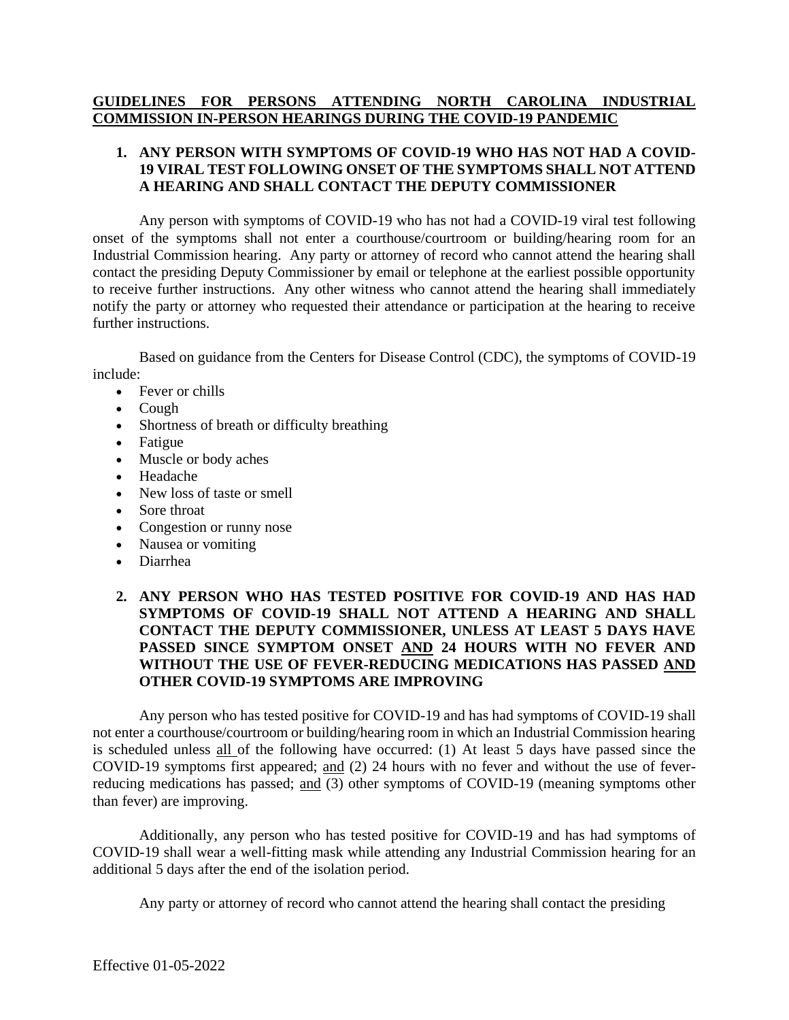# **GUIDELINES FOR PERSONS ATTENDING NORTH CAROLINA INDUSTRIAL COMMISSION IN-PERSON HEARINGS DURING THE COVID-19 PANDEMIC**

### **1. ANY PERSON WITH SYMPTOMS OF COVID-19 WHO HAS NOT HAD A COVID-19 VIRAL TEST FOLLOWING ONSET OF THE SYMPTOMS SHALL NOT ATTEND A HEARING AND SHALL CONTACT THE DEPUTY COMMISSIONER**

Any person with symptoms of COVID-19 who has not had a COVID-19 viral test following onset of the symptoms shall not enter a courthouse/courtroom or building/hearing room for an Industrial Commission hearing. Any party or attorney of record who cannot attend the hearing shall contact the presiding Deputy Commissioner by email or telephone at the earliest possible opportunity to receive further instructions. Any other witness who cannot attend the hearing shall immediately notify the party or attorney who requested their attendance or participation at the hearing to receive further instructions.

Based on guidance from the Centers for Disease Control (CDC), the symptoms of COVID-19 include:

- Fever or chills
- Cough
- Shortness of breath or difficulty breathing
- Fatigue
- Muscle or body aches
- Headache
- New loss of taste or smell
- Sore throat
- Congestion or runny nose
- Nausea or vomiting
- Diarrhea

## **2. ANY PERSON WHO HAS TESTED POSITIVE FOR COVID-19 AND HAS HAD SYMPTOMS OF COVID-19 SHALL NOT ATTEND A HEARING AND SHALL CONTACT THE DEPUTY COMMISSIONER, UNLESS AT LEAST 5 DAYS HAVE PASSED SINCE SYMPTOM ONSET AND 24 HOURS WITH NO FEVER AND WITHOUT THE USE OF FEVER-REDUCING MEDICATIONS HAS PASSED AND OTHER COVID-19 SYMPTOMS ARE IMPROVING**

Any person who has tested positive for COVID-19 and has had symptoms of COVID-19 shall not enter a courthouse/courtroom or building/hearing room in which an Industrial Commission hearing is scheduled unless all of the following have occurred: (1) At least 5 days have passed since the COVID-19 symptoms first appeared; and (2) 24 hours with no fever and without the use of feverreducing medications has passed; and (3) other symptoms of COVID-19 (meaning symptoms other than fever) are improving.

Additionally, any person who has tested positive for COVID-19 and has had symptoms of COVID-19 shall wear a well-fitting mask while attending any Industrial Commission hearing for an additional 5 days after the end of the isolation period.

Any party or attorney of record who cannot attend the hearing shall contact the presiding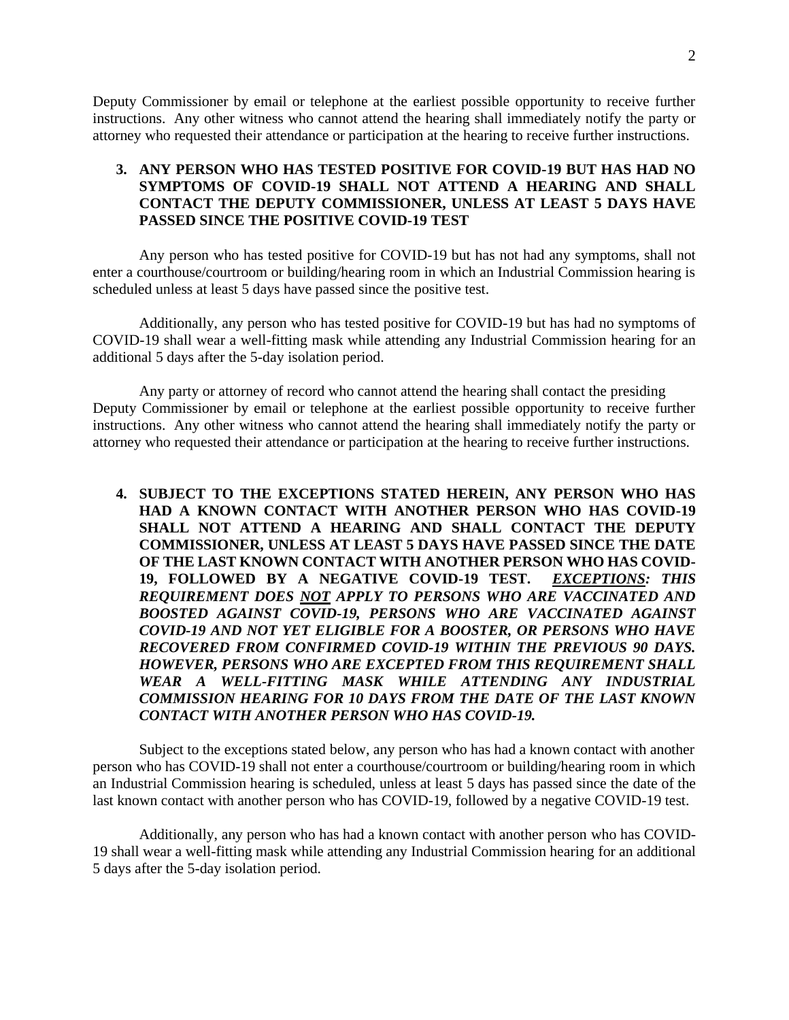2

Deputy Commissioner by email or telephone at the earliest possible opportunity to receive further instructions. Any other witness who cannot attend the hearing shall immediately notify the party or attorney who requested their attendance or participation at the hearing to receive further instructions.

### **3. ANY PERSON WHO HAS TESTED POSITIVE FOR COVID-19 BUT HAS HAD NO SYMPTOMS OF COVID-19 SHALL NOT ATTEND A HEARING AND SHALL CONTACT THE DEPUTY COMMISSIONER, UNLESS AT LEAST 5 DAYS HAVE PASSED SINCE THE POSITIVE COVID-19 TEST**

Any person who has tested positive for COVID-19 but has not had any symptoms, shall not enter a courthouse/courtroom or building/hearing room in which an Industrial Commission hearing is scheduled unless at least 5 days have passed since the positive test.

Additionally, any person who has tested positive for COVID-19 but has had no symptoms of COVID-19 shall wear a well-fitting mask while attending any Industrial Commission hearing for an additional 5 days after the 5-day isolation period.

Any party or attorney of record who cannot attend the hearing shall contact the presiding Deputy Commissioner by email or telephone at the earliest possible opportunity to receive further instructions. Any other witness who cannot attend the hearing shall immediately notify the party or attorney who requested their attendance or participation at the hearing to receive further instructions.

**4. SUBJECT TO THE EXCEPTIONS STATED HEREIN, ANY PERSON WHO HAS HAD A KNOWN CONTACT WITH ANOTHER PERSON WHO HAS COVID-19 SHALL NOT ATTEND A HEARING AND SHALL CONTACT THE DEPUTY COMMISSIONER, UNLESS AT LEAST 5 DAYS HAVE PASSED SINCE THE DATE OF THE LAST KNOWN CONTACT WITH ANOTHER PERSON WHO HAS COVID-19, FOLLOWED BY A NEGATIVE COVID-19 TEST.** *EXCEPTIONS: THIS REQUIREMENT DOES NOT APPLY TO PERSONS WHO ARE VACCINATED AND BOOSTED AGAINST COVID-19, PERSONS WHO ARE VACCINATED AGAINST COVID-19 AND NOT YET ELIGIBLE FOR A BOOSTER, OR PERSONS WHO HAVE RECOVERED FROM CONFIRMED COVID-19 WITHIN THE PREVIOUS 90 DAYS. HOWEVER, PERSONS WHO ARE EXCEPTED FROM THIS REQUIREMENT SHALL WEAR A WELL-FITTING MASK WHILE ATTENDING ANY INDUSTRIAL COMMISSION HEARING FOR 10 DAYS FROM THE DATE OF THE LAST KNOWN CONTACT WITH ANOTHER PERSON WHO HAS COVID-19.*

Subject to the exceptions stated below, any person who has had a known contact with another person who has COVID-19 shall not enter a courthouse/courtroom or building/hearing room in which an Industrial Commission hearing is scheduled, unless at least 5 days has passed since the date of the last known contact with another person who has COVID-19, followed by a negative COVID-19 test.

Additionally, any person who has had a known contact with another person who has COVID-19 shall wear a well-fitting mask while attending any Industrial Commission hearing for an additional 5 days after the 5-day isolation period.